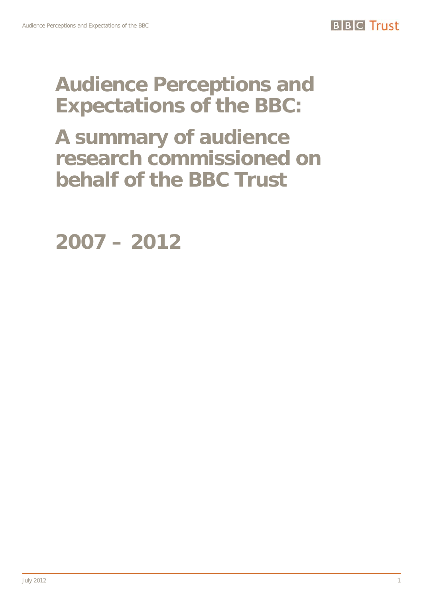# **Audience Perceptions and Expectations of the BBC:**

**A summary of audience research commissioned on behalf of the BBC Trust** 

<span id="page-0-0"></span>**2007 – 2012**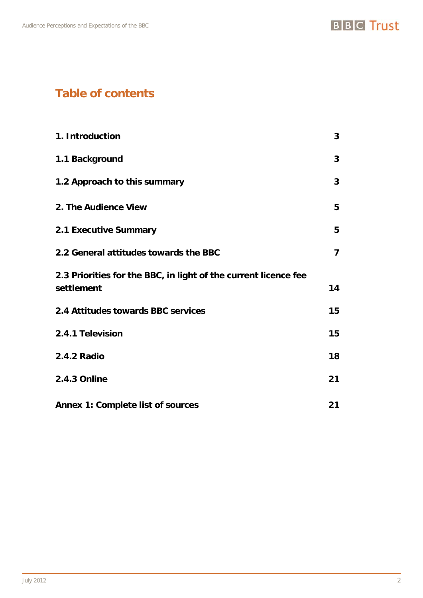# **Table of contents**

| 1. Introduction                                                               | 3  |
|-------------------------------------------------------------------------------|----|
| 1.1 Background                                                                | 3  |
| 1.2 Approach to this summary                                                  | 3  |
| 2. The Audience View                                                          | 5  |
| <b>2.1 Executive Summary</b>                                                  | 5  |
| 2.2 General attitudes towards the BBC                                         | 7  |
| 2.3 Priorities for the BBC, in light of the current licence fee<br>settlement | 14 |
| 2.4 Attitudes towards BBC services                                            | 15 |
| 2.4.1 Television                                                              | 15 |
| <b>2.4.2 Radio</b>                                                            | 18 |
| 2.4.3 Online                                                                  | 21 |
| <b>Annex 1: Complete list of sources</b>                                      | 21 |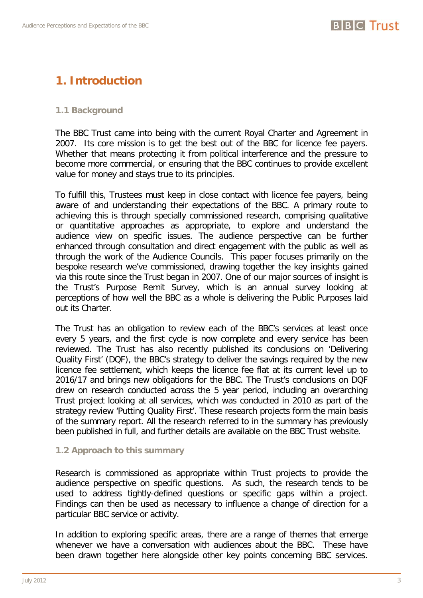# <span id="page-2-0"></span>**1. Introduction**

# <span id="page-2-1"></span>**1.1 Background**

The BBC Trust came into being with the current Royal Charter and Agreement in 2007. Its core mission is to get the best out of the BBC for licence fee payers. Whether that means protecting it from political interference and the pressure to become more commercial, or ensuring that the BBC continues to provide excellent value for money and stays true to its principles.

To fulfill this, Trustees must keep in close contact with licence fee payers, being aware of and understanding their expectations of the BBC. A primary route to achieving this is through specially commissioned research, comprising qualitative or quantitative approaches as appropriate, to explore and understand the audience view on specific issues. The audience perspective can be further enhanced through consultation and direct engagement with the public as well as through the work of the Audience Councils. This paper focuses primarily on the bespoke research we've commissioned, drawing together the key insights gained via this route since the Trust began in 2007. One of our major sources of insight is the Trust's Purpose Remit Survey, which is an annual survey looking at perceptions of how well the BBC as a whole is delivering the Public Purposes laid out its Charter.

The Trust has an obligation to review each of the BBC's services at least once every 5 years, and the first cycle is now complete and every service has been reviewed. The Trust has also recently published its conclusions on 'Delivering Quality First' (DQF), the BBC's strategy to deliver the savings required by the new licence fee settlement, which keeps the licence fee flat at its current level up to 2016/17 and brings new obligations for the BBC. The Trust's conclusions on DQF drew on research conducted across the 5 year period, including an overarching Trust project looking at all services, which was conducted in 2010 as part of the strategy review 'Putting Quality First'. These research projects form the main basis of the summary report. All the research referred to in the summary has previously been published in full, and further details are available on the BBC Trust website.

# <span id="page-2-2"></span>**1.2 Approach to this summary**

Research is commissioned as appropriate within Trust projects to provide the audience perspective on specific questions. As such, the research tends to be used to address tightly-defined questions or specific gaps within a project. Findings can then be used as necessary to influence a change of direction for a particular BBC service or activity.

In addition to exploring specific areas, there are a range of themes that emerge whenever we have a conversation with audiences about the BBC. These have been drawn together here alongside other key points concerning BBC services.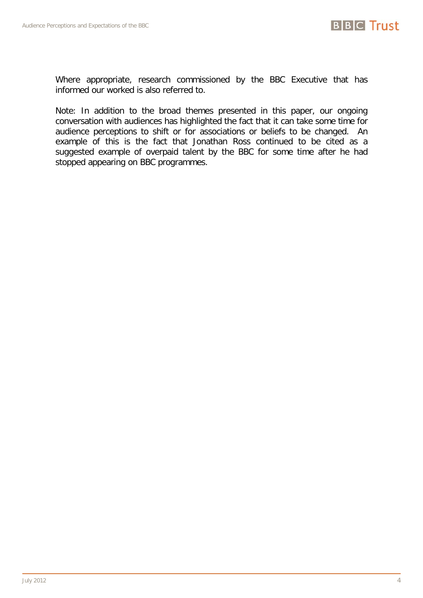

Where appropriate, research commissioned by the BBC Executive that has informed our worked is also referred to.

Note: In addition to the broad themes presented in this paper, our ongoing conversation with audiences has highlighted the fact that it can take some time for audience perceptions to shift or for associations or beliefs to be changed. An example of this is the fact that Jonathan Ross continued to be cited as a suggested example of overpaid talent by the BBC for some time after he had stopped appearing on BBC programmes.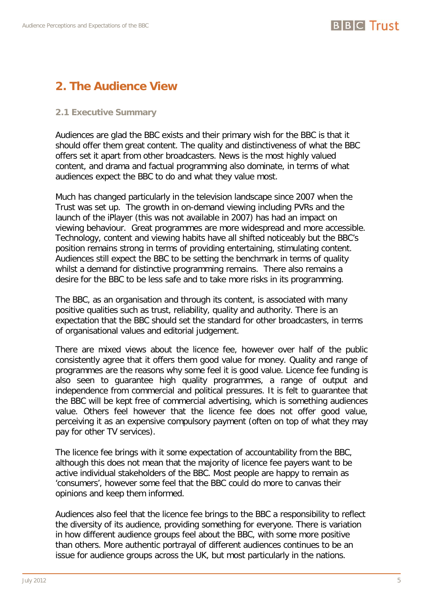# <span id="page-4-0"></span>**2. The Audience View**

# <span id="page-4-1"></span>**2.1 Executive Summary**

Audiences are glad the BBC exists and their primary wish for the BBC is that it should offer them great content. The quality and distinctiveness of what the BBC offers set it apart from other broadcasters. News is the most highly valued content, and drama and factual programming also dominate, in terms of what audiences expect the BBC to do and what they value most.

Much has changed particularly in the television landscape since 2007 when the Trust was set up. The growth in on-demand viewing including PVRs and the launch of the iPlayer (this was not available in 2007) has had an impact on viewing behaviour. Great programmes are more widespread and more accessible. Technology, content and viewing habits have all shifted noticeably but the BBC's position remains strong in terms of providing entertaining, stimulating content. Audiences still expect the BBC to be setting the benchmark in terms of quality whilst a demand for distinctive programming remains. There also remains a desire for the BBC to be less safe and to take more risks in its programming.

The BBC, as an organisation and through its content, is associated with many positive qualities such as trust, reliability, quality and authority. There is an expectation that the BBC should set the standard for other broadcasters, in terms of organisational values and editorial judgement.

There are mixed views about the licence fee, however over half of the public consistently agree that it offers them good value for money. Quality and range of programmes are the reasons why some feel it is good value. Licence fee funding is also seen to guarantee high quality programmes, a range of output and independence from commercial and political pressures. It is felt to guarantee that the BBC will be kept free of commercial advertising, which is something audiences value. Others feel however that the licence fee does not offer good value, perceiving it as an expensive compulsory payment (often on top of what they may pay for other TV services).

The licence fee brings with it some expectation of accountability from the BBC, although this does not mean that the majority of licence fee payers want to be active individual stakeholders of the BBC. Most people are happy to remain as 'consumers', however some feel that the BBC could do more to canvas their opinions and keep them informed.

Audiences also feel that the licence fee brings to the BBC a responsibility to reflect the diversity of its audience, providing something for everyone. There is variation in how different audience groups feel about the BBC, with some more positive than others. More authentic portrayal of different audiences continues to be an issue for audience groups across the UK, but most particularly in the nations.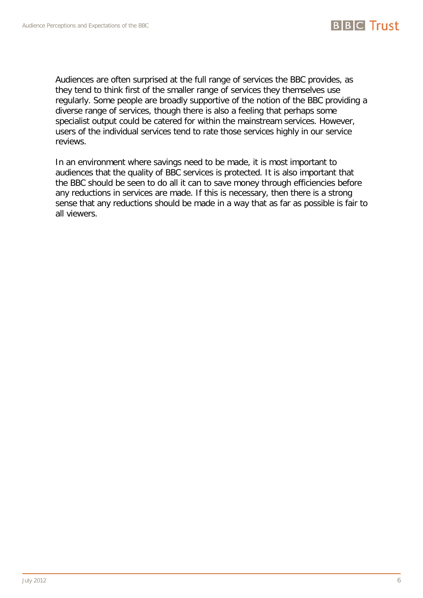

Audiences are often surprised at the full range of services the BBC provides, as they tend to think first of the smaller range of services they themselves use regularly. Some people are broadly supportive of the notion of the BBC providing a diverse range of services, though there is also a feeling that perhaps some specialist output could be catered for within the mainstream services. However, users of the individual services tend to rate those services highly in our service reviews.

In an environment where savings need to be made, it is most important to audiences that the quality of BBC services is protected. It is also important that the BBC should be seen to do all it can to save money through efficiencies before any reductions in services are made. If this is necessary, then there is a strong sense that any reductions should be made in a way that as far as possible is fair to all viewers.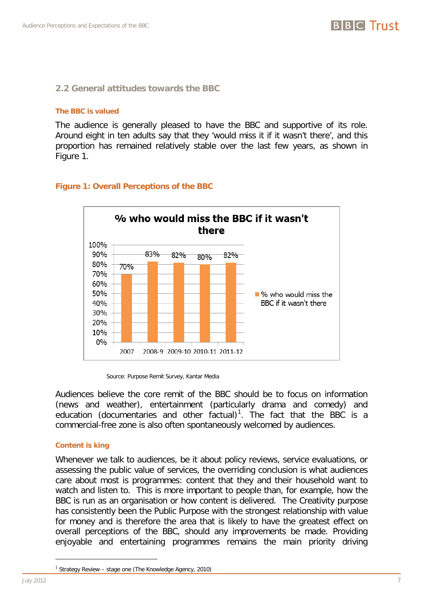

# <span id="page-6-0"></span>**2.2 General attitudes towards the BBC**

### **The BBC is valued**

The audience is generally pleased to have the BBC and supportive of its role. Around eight in ten adults say that they 'would miss it if it wasn't there', and this proportion has remained relatively stable over the last few years, as shown in [Figure 1.](#page-6-1)



# <span id="page-6-1"></span>**Figure 1: Overall Perceptions of the BBC**

Audiences believe the core remit of the BBC should be to focus on information (news and weather), entertainment (particularly drama and comedy) and education (documentaries and other factual)<sup>[1](#page-0-0)</sup>. The fact that the BBC is a commercial-free zone is also often spontaneously welcomed by audiences.

# **Content is king**

<span id="page-6-2"></span>Whenever we talk to audiences, be it about policy reviews, service evaluations, or assessing the public value of services, the overriding conclusion is what audiences care about most is programmes: content that they and their household want to watch and listen to. This is more important to people than, for example, how the BBC is run as an organisation or how content is delivered. The Creativity purpose has consistently been the Public Purpose with the strongest relationship with value for money and is therefore the area that is likely to have the greatest effect on overall perceptions of the BBC, should any improvements be made. Providing enjoyable and entertaining programmes remains the main priority driving

<u>.</u>

Source: Purpose Remit Survey, Kantar Media

<sup>1</sup> Strategy Review – stage one (The Knowledge Agency, 2010)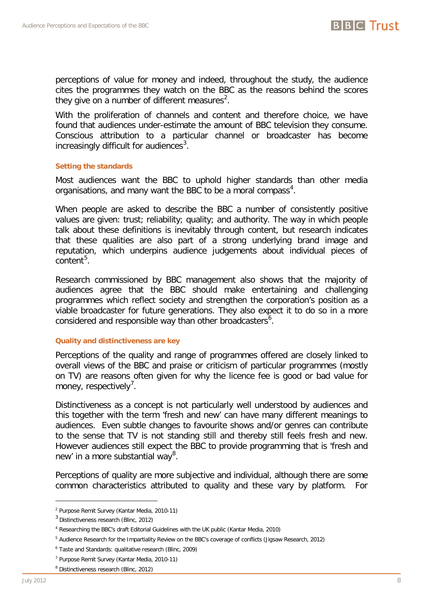

perceptions of value for money and indeed, throughout the study, the audience cites the programmes they watch on the BBC as the reasons behind the scores they give on a number of different measures<sup>[2](#page-6-2)</sup>.

With the proliferation of channels and content and therefore choice, we have found that audiences under-estimate the amount of BBC television they consume. Conscious attribution to a particular channel or broadcaster has become increasingly difficult for audiences<sup>[3](#page-7-0)</sup>.

# **Setting the standards**

Most audiences want the BBC to uphold higher standards than other media organisations, and many want the BBC to be a moral compass<sup>[4](#page-7-1)</sup>.

When people are asked to describe the BBC a number of consistently positive values are given: trust; reliability; quality; and authority. The way in which people talk about these definitions is inevitably through content, but research indicates that these qualities are also part of a strong underlying brand image and reputation, which underpins audience judgements about individual pieces of content<sup>[5](#page-7-2)</sup>.

Research commissioned by BBC management also shows that the majority of audiences agree that the BBC should make entertaining and challenging programmes which reflect society and strengthen the corporation's position as a viable broadcaster for future generations. They also expect it to do so in a more considered and responsible way than other broadcasters $6$ .

# **Quality and distinctiveness are key**

Perceptions of the quality and range of programmes offered are closely linked to overall views of the BBC and praise or criticism of particular programmes (mostly on TV) are reasons often given for why the licence fee is good or bad value for money, respectively<sup>[7](#page-7-4)</sup>.

Distinctiveness as a concept is not particularly well understood by audiences and this together with the term 'fresh and new' can have many different meanings to audiences. Even subtle changes to favourite shows and/or genres can contribute to the sense that TV is not standing still and thereby still feels fresh and new. However audiences still expect the BBC to provide programming that is 'fresh and new' in a more substantial way<sup>[8](#page-7-5)</sup>.

Perceptions of quality are more subjective and individual, although there are some common characteristics attributed to quality and these vary by platform. For

<span id="page-7-6"></span><sup>2</sup> Purpose Remit Survey (Kantar Media, 2010-11)

<span id="page-7-0"></span><sup>3</sup> Distinctiveness research (Blinc, 2012)

<span id="page-7-1"></span><sup>4</sup> Researching the BBC's draft Editorial Guidelines with the UK public (Kantar Media, 2010)

<span id="page-7-2"></span><sup>5</sup> Audience Research for the Impartiality Review on the BBC's coverage of conflicts (Jigsaw Research, 2012)

<span id="page-7-3"></span><sup>6</sup> Taste and Standards: qualitative research (Blinc, 2009)

<span id="page-7-4"></span><sup>7</sup> Purpose Remit Survey (Kantar Media, 2010-11)

<span id="page-7-5"></span><sup>8</sup> Distinctiveness research (Blinc, 2012)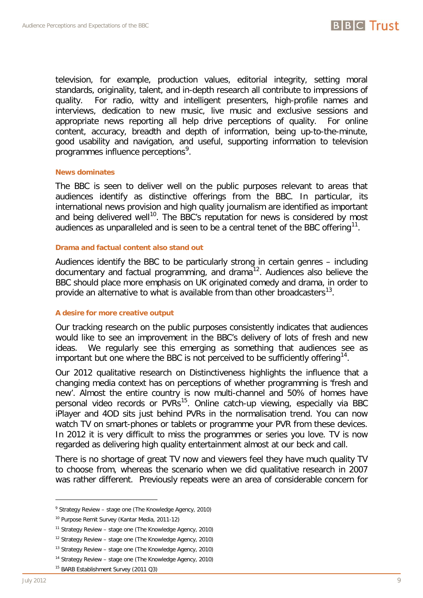

television, for example, production values, editorial integrity, setting moral standards, originality, talent, and in-depth research all contribute to impressions of quality. For radio, witty and intelligent presenters, high-profile names and interviews, dedication to new music, live music and exclusive sessions and appropriate news reporting all help drive perceptions of quality. For online content, accuracy, breadth and depth of information, being up-to-the-minute, good usability and navigation, and useful, supporting information to television programmes influence perceptions<sup>[9](#page-7-6)</sup>.

# **News dominates**

The BBC is seen to deliver well on the public purposes relevant to areas that audiences identify as distinctive offerings from the BBC. In particular, its international news provision and high quality journalism are identified as important and being delivered well<sup>10</sup>. The BBC's reputation for news is considered by most audiences as unparalleled and is seen to be a central tenet of the BBC offering<sup>11</sup>.

### **Drama and factual content also stand out**

Audiences identify the BBC to be particularly strong in certain genres – including documentary and factual programming, and drama<sup>[12](#page-8-2)</sup>. Audiences also believe the BBC should place more emphasis on UK originated comedy and drama, in order to provide an alternative to what is available from than other broadcasters $^{13}$  $^{13}$  $^{13}$ .

# **A desire for more creative output**

Our tracking research on the public purposes consistently indicates that audiences would like to see an improvement in the BBC's delivery of lots of fresh and new ideas. We regularly see this emerging as something that audiences see as important but one where the BBC is not perceived to be sufficiently offering<sup>[14](#page-8-4)</sup>.

Our 2012 qualitative research on Distinctiveness highlights the influence that a changing media context has on perceptions of whether programming is 'fresh and new'. Almost the entire country is now multi-channel and 50% of homes have personal video records or PVRs<sup>15</sup>. Online catch-up viewing, especially via BBC iPlayer and 4OD sits just behind PVRs in the normalisation trend. You can now watch TV on smart-phones or tablets or programme your PVR from these devices. In 2012 it is very difficult to miss the programmes or series you love. TV is now regarded as delivering high quality entertainment almost at our beck and call.

There is no shortage of great TV now and viewers feel they have much quality TV to choose from, whereas the scenario when we did qualitative research in 2007 was rather different. Previously repeats were an area of considerable concern for

<sup>9</sup> Strategy Review – stage one (The Knowledge Agency, 2010)

<span id="page-8-0"></span><sup>10</sup> Purpose Remit Survey (Kantar Media, 2011-12)

<span id="page-8-1"></span> $11$  Strategy Review – stage one (The Knowledge Agency, 2010)

<span id="page-8-2"></span> $12$  Strategy Review – stage one (The Knowledge Agency, 2010)

<span id="page-8-3"></span><sup>&</sup>lt;sup>13</sup> Strategy Review - stage one (The Knowledge Agency, 2010)

<span id="page-8-4"></span> $14$  Strategy Review – stage one (The Knowledge Agency, 2010)

<span id="page-8-5"></span><sup>15</sup> BARB Establishment Survey (2011 Q3)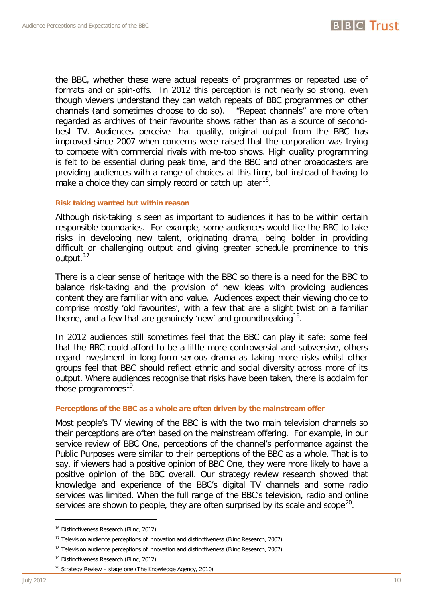

the BBC, whether these were actual repeats of programmes or repeated use of formats and or spin-offs. In 2012 this perception is not nearly so strong, even though viewers understand they can watch repeats of BBC programmes on other channels (and sometimes choose to do so). "Repeat channels" are more often regarded as archives of their favourite shows rather than as a source of secondbest TV. Audiences perceive that quality, original output from the BBC has improved since 2007 when concerns were raised that the corporation was trying to compete with commercial rivals with me-too shows. High quality programming is felt to be essential during peak time, and the BBC and other broadcasters are providing audiences with a range of choices at this time, but instead of having to make a choice they can simply record or catch up later<sup>16</sup>.

# **Risk taking wanted but within reason**

Although risk-taking is seen as important to audiences it has to be within certain responsible boundaries. For example, some audiences would like the BBC to take risks in developing new talent, originating drama, being bolder in providing difficult or challenging output and giving greater schedule prominence to this output.<sup>[17](#page-9-0)</sup>

There is a clear sense of heritage with the BBC so there is a need for the BBC to balance risk-taking and the provision of new ideas with providing audiences content they are familiar with and value. Audiences expect their viewing choice to comprise mostly 'old favourites', with a few that are a slight twist on a familiar theme, and a few that are genuinely 'new' and groundbreaking  $18$ .

In 2012 audiences still sometimes feel that the BBC can play it safe: some feel that the BBC could afford to be a little more controversial and subversive, others regard investment in long-form serious drama as taking more risks whilst other groups feel that BBC should reflect ethnic and social diversity across more of its output. Where audiences recognise that risks have been taken, there is acclaim for those programmes $^{19}$ .

# **Perceptions of the BBC as a whole are often driven by the mainstream offer**

Most people's TV viewing of the BBC is with the two main television channels so their perceptions are often based on the mainstream offering. For example, in our service review of BBC One, perceptions of the channel's performance against the Public Purposes were similar to their perceptions of the BBC as a whole. That is to say, if viewers had a positive opinion of BBC One, they were more likely to have a positive opinion of the BBC overall. Our strategy review research showed that knowledge and experience of the BBC's digital TV channels and some radio services was limited. When the full range of the BBC's television, radio and online services are shown to people, they are often surprised by its scale and scope<sup>[20](#page-9-3)</sup>.

<span id="page-9-4"></span><sup>&</sup>lt;sup>16</sup> Distinctiveness Research (Blinc, 2012)

<span id="page-9-0"></span><sup>&</sup>lt;sup>17</sup> Television audience perceptions of innovation and distinctiveness (Blinc Research, 2007)

<span id="page-9-2"></span><span id="page-9-1"></span><sup>&</sup>lt;sup>18</sup> Television audience perceptions of innovation and distinctiveness (Blinc Research, 2007)

<sup>&</sup>lt;sup>19</sup> Distinctiveness Research (Blinc, 2012)

<span id="page-9-3"></span><sup>20</sup> Strategy Review – stage one (The Knowledge Agency, 2010)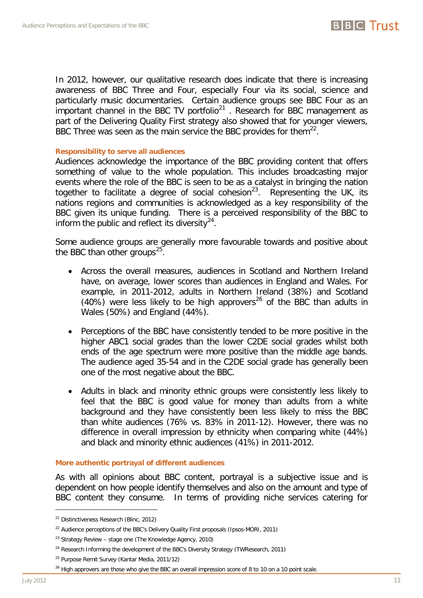

# **Responsibility to serve all audiences**

Audiences acknowledge the importance of the BBC providing content that offers something of value to the whole population. This includes broadcasting major events where the role of the BBC is seen to be as a catalyst in bringing the nation together to facilitate a degree of social cohesion<sup>[23](#page-10-1)</sup>. Representing the UK, its nations regions and communities is acknowledged as a key responsibility of the BBC given its unique funding. There is a perceived responsibility of the BBC to inform the public and reflect its diversity $24$ .

Some audience groups are generally more favourable towards and positive about the BBC than other groups<sup>[25](#page-10-3)</sup>.

- Across the overall measures, audiences in Scotland and Northern Ireland have, on average, lower scores than audiences in England and Wales. For example, in 2011-2012, adults in Northern Ireland (38%) and Scotland (40%) were less likely to be high approvers<sup>[26](#page-10-4)</sup> of the BBC than adults in Wales (50%) and England (44%).
- Perceptions of the BBC have consistently tended to be more positive in the higher ABC1 social grades than the lower C2DE social grades whilst both ends of the age spectrum were more positive than the middle age bands. The audience aged 35-54 and in the C2DE social grade has generally been one of the most negative about the BBC.
- Adults in black and minority ethnic groups were consistently less likely to feel that the BBC is good value for money than adults from a white background and they have consistently been less likely to miss the BBC than white audiences (76% vs. 83% in 2011-12). However, there was no difference in overall impression by ethnicity when comparing white (44%) and black and minority ethnic audiences (41%) in 2011-2012.

# **More authentic portrayal of different audiences**

As with all opinions about BBC content, portrayal is a subjective issue and is dependent on how people identify themselves and also on the amount and type of BBC content they consume. In terms of providing niche services catering for

-

**BBC** Trust

<sup>&</sup>lt;sup>21</sup> Distinctiveness Research (Blinc, 2012)

<span id="page-10-0"></span><sup>&</sup>lt;sup>22</sup> Audience perceptions of the BBC's Delivery Quality First proposals (Ipsos-MORI, 2011)

<span id="page-10-1"></span><sup>&</sup>lt;sup>23</sup> Strategy Review - stage one (The Knowledge Agency, 2010)

<span id="page-10-2"></span><sup>&</sup>lt;sup>24</sup> Research Informing the development of the BBC's Diversity Strategy (TWResearch, 2011)

<sup>&</sup>lt;sup>25</sup> Purpose Remit Survey (Kantar Media, 2011/12)

<span id="page-10-4"></span><span id="page-10-3"></span><sup>&</sup>lt;sup>26</sup> High approvers are those who give the BBC an overall impression score of 8 to 10 on a 10 point scale.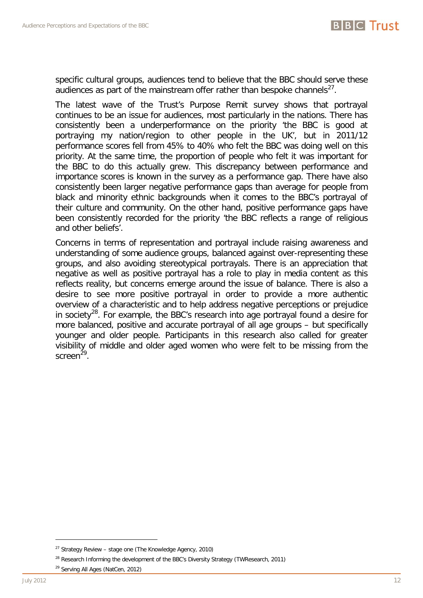

specific cultural groups, audiences tend to believe that the BBC should serve these audiences as part of the mainstream offer rather than bespoke channels $^{27}$  $^{27}$  $^{27}$ .

The latest wave of the Trust's Purpose Remit survey shows that portrayal continues to be an issue for audiences, most particularly in the nations. There has consistently been a underperformance on the priority 'the BBC is good at portraying my nation/region to other people in the UK', but in 2011/12 performance scores fell from 45% to 40% who felt the BBC was doing well on this priority. At the same time, the proportion of people who felt it was important for the BBC to do this actually grew. This discrepancy between performance and importance scores is known in the survey as a performance gap. There have also consistently been larger negative performance gaps than average for people from black and minority ethnic backgrounds when it comes to the BBC's portrayal of their culture and community. On the other hand, positive performance gaps have been consistently recorded for the priority 'the BBC reflects a range of religious and other beliefs'.

Concerns in terms of representation and portrayal include raising awareness and understanding of some audience groups, balanced against over-representing these groups, and also avoiding stereotypical portrayals. There is an appreciation that negative as well as positive portrayal has a role to play in media content as this reflects reality, but concerns emerge around the issue of balance. There is also a desire to see more positive portrayal in order to provide a more authentic overview of a characteristic and to help address negative perceptions or prejudice in society<sup>28</sup>. For example, the BBC's research into age portrayal found a desire for more balanced, positive and accurate portrayal of all age groups – but specifically younger and older people. Participants in this research also called for greater visibility of middle and older aged women who were felt to be missing from the screen $^{29}$ .

<span id="page-11-2"></span> $27$  Strategy Review - stage one (The Knowledge Agency, 2010)

<span id="page-11-0"></span><sup>&</sup>lt;sup>28</sup> Research Informing the development of the BBC's Diversity Strategy (TWResearch, 2011)

<span id="page-11-1"></span><sup>&</sup>lt;sup>29</sup> Serving All Ages (NatCen, 2012)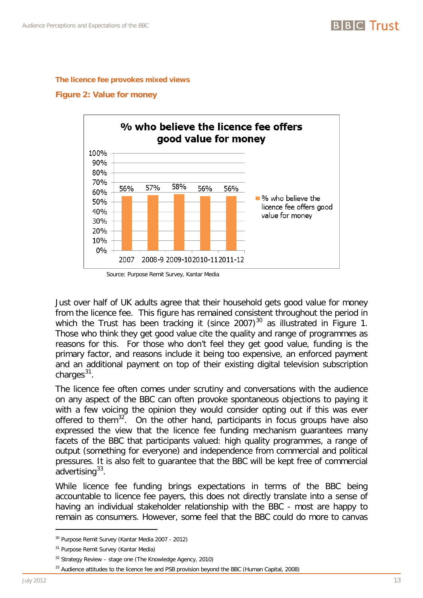

#### **The licence fee provokes mixed views**

#### **Figure 2: Value for money**



Source: Purpose Remit Survey, Kantar Media

Just over half of UK adults agree that their household gets good value for money from the licence fee. This figure has remained consistent throughout the period in which the Trust has been tracking it (since 2007)<sup>[30](#page-11-2)</sup> as illustrated in [Figure 1.](#page-6-1) Those who think they get good value cite the quality and range of programmes as reasons for this. For those who don't feel they get good value, funding is the primary factor, and reasons include it being too expensive, an enforced payment and an additional payment on top of their existing digital television subscription charges $31$ .

The licence fee often comes under scrutiny and conversations with the audience on any aspect of the BBC can often provoke spontaneous objections to paying it with a few voicing the opinion they would consider opting out if this was ever offered to them<sup>[32](#page-12-1)</sup>. On the other hand, participants in focus groups have also expressed the view that the licence fee funding mechanism guarantees many facets of the BBC that participants valued: high quality programmes, a range of output (something for everyone) and independence from commercial and political pressures. It is also felt to guarantee that the BBC will be kept free of commercial advertising $33$ .

While licence fee funding brings expectations in terms of the BBC being accountable to licence fee payers, this does not directly translate into a sense of having an individual stakeholder relationship with the BBC - most are happy to remain as consumers. However, some feel that the BBC could do more to canvas

<sup>30</sup> Purpose Remit Survey (Kantar Media 2007 - 2012)

<span id="page-12-0"></span><sup>&</sup>lt;sup>31</sup> Purpose Remit Survey (Kantar Media)

 $32$  Strategy Review – stage one (The Knowledge Agency, 2010)

<span id="page-12-2"></span><span id="page-12-1"></span><sup>&</sup>lt;sup>33</sup> Audience attitudes to the licence fee and PSB provision beyond the BBC (Human Capital, 2008)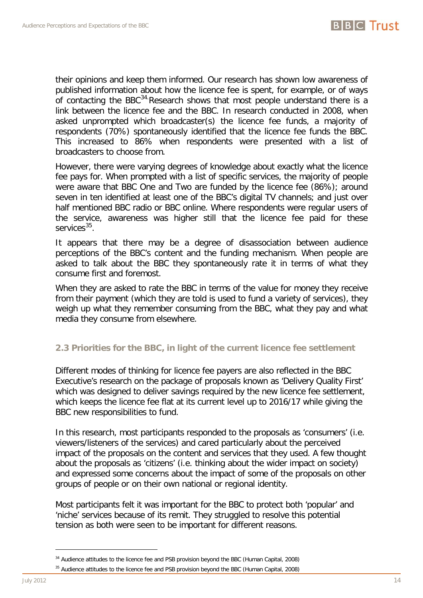

their opinions and keep them informed. Our research has shown low awareness of published information about how the licence fee is spent, for example, or of ways of contacting the BBC<sup>34</sup> Research shows that most people understand there is a link between the licence fee and the BBC. In research conducted in 2008, when asked unprompted which broadcaster(s) the licence fee funds, a majority of respondents (70%) spontaneously identified that the licence fee funds the BBC. This increased to 86% when respondents were presented with a list of broadcasters to choose from.

However, there were varying degrees of knowledge about exactly what the licence fee pays for. When prompted with a list of specific services, the majority of people were aware that BBC One and Two are funded by the licence fee (86%); around seven in ten identified at least one of the BBC's digital TV channels; and just over half mentioned BBC radio or BBC online. Where respondents were regular users of the service, awareness was higher still that the licence fee paid for these services $35$ .

It appears that there may be a degree of disassociation between audience perceptions of the BBC's content and the funding mechanism. When people are asked to talk about the BBC they spontaneously rate it in terms of what they consume first and foremost.

When they are asked to rate the BBC in terms of the value for money they receive from their payment (which they are told is used to fund a variety of services), they weigh up what they remember consuming from the BBC, what they pay and what media they consume from elsewhere.

# <span id="page-13-0"></span>**2.3 Priorities for the BBC, in light of the current licence fee settlement**

Different modes of thinking for licence fee payers are also reflected in the BBC Executive's research on the package of proposals known as 'Delivery Quality First' which was designed to deliver savings required by the new licence fee settlement, which keeps the licence fee flat at its current level up to 2016/17 while giving the BBC new responsibilities to fund.

In this research, most participants responded to the proposals as 'consumers' (i.e. viewers/listeners of the services) and cared particularly about the perceived impact of the proposals on the content and services that they used. A few thought about the proposals as 'citizens' (i.e. thinking about the wider impact on society) and expressed some concerns about the impact of some of the proposals on other groups of people or on their own national or regional identity.

<span id="page-13-2"></span>Most participants felt it was important for the BBC to protect both 'popular' and 'niche' services because of its remit. They struggled to resolve this potential tension as both were seen to be important for different reasons.

<sup>&</sup>lt;sup>34</sup> Audience attitudes to the licence fee and PSB provision beyond the BBC (Human Capital, 2008)

<span id="page-13-1"></span><sup>&</sup>lt;sup>35</sup> Audience attitudes to the licence fee and PSB provision beyond the BBC (Human Capital, 2008)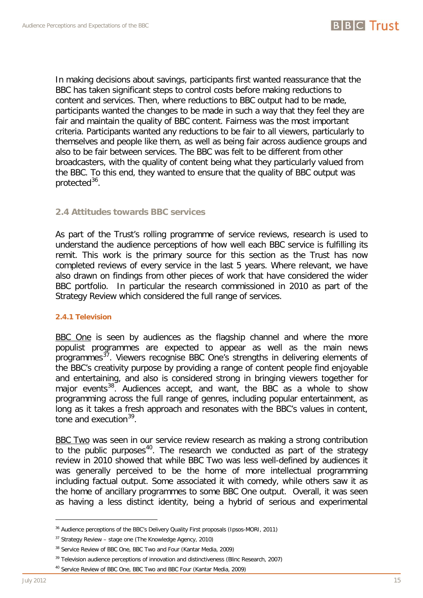

In making decisions about savings, participants first wanted reassurance that the BBC has taken significant steps to control costs before making reductions to content and services. Then, where reductions to BBC output had to be made, participants wanted the changes to be made in such a way that they feel they are fair and maintain the quality of BBC content. Fairness was the most important criteria. Participants wanted any reductions to be fair to all viewers, particularly to themselves and people like them, as well as being fair across audience groups and also to be fair between services. The BBC was felt to be different from other broadcasters, with the quality of content being what they particularly valued from the BBC. To this end, they wanted to ensure that the quality of BBC output was protected $36$ .

# <span id="page-14-0"></span>**2.4 Attitudes towards BBC services**

As part of the Trust's rolling programme of service reviews, research is used to understand the audience perceptions of how well each BBC service is fulfilling its remit. This work is the primary source for this section as the Trust has now completed reviews of every service in the last 5 years. Where relevant, we have also drawn on findings from other pieces of work that have considered the wider BBC portfolio. In particular the research commissioned in 2010 as part of the Strategy Review which considered the full range of services.

# <span id="page-14-1"></span>**2.4.1 Television**

BBC One is seen by audiences as the flagship channel and where the more populist programmes are expected to appear as well as the main news programmes<sup>37</sup>. Viewers recognise BBC One's strengths in delivering elements of the BBC's creativity purpose by providing a range of content people find enjoyable and entertaining, and also is considered strong in bringing viewers together for major events<sup>38</sup>. Audiences accept, and want, the BBC as a whole to show programming across the full range of genres, including popular entertainment, as long as it takes a fresh approach and resonates with the BBC's values in content, tone and execution $39$ .

BBC Two was seen in our service review research as making a strong contribution to the public purposes<sup>[40](#page-14-5)</sup>. The research we conducted as part of the strategy review in 2010 showed that while BBC Two was less well-defined by audiences it was generally perceived to be the home of more intellectual programming including factual output. Some associated it with comedy, while others saw it as the home of ancillary programmes to some BBC One output. Overall, it was seen as having a less distinct identity, being a hybrid of serious and experimental

<span id="page-14-6"></span><sup>&</sup>lt;sup>36</sup> Audience perceptions of the BBC's Delivery Quality First proposals (Ipsos-MORI, 2011)

<span id="page-14-2"></span><sup>37</sup> Strategy Review – stage one (The Knowledge Agency, 2010)

<span id="page-14-3"></span><sup>&</sup>lt;sup>38</sup> Service Review of BBC One, BBC Two and Four (Kantar Media, 2009)

<sup>&</sup>lt;sup>39</sup> Television audience perceptions of innovation and distinctiveness (Blinc Research, 2007)

<span id="page-14-5"></span><span id="page-14-4"></span><sup>&</sup>lt;sup>40</sup> Service Review of BBC One, BBC Two and BBC Four (Kantar Media, 2009)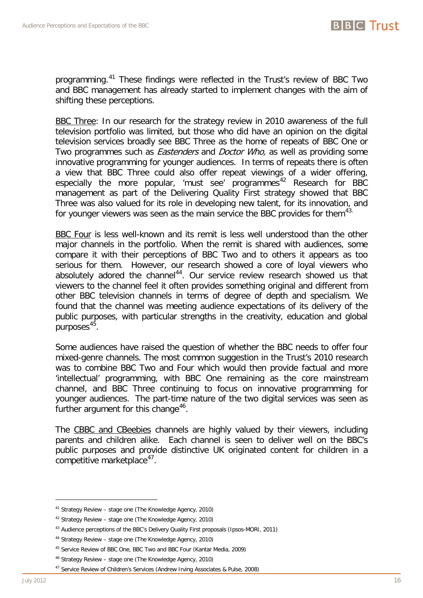

programming.[41](#page-14-6) These findings were reflected in the Trust's review of BBC Two and BBC management has already started to implement changes with the aim of shifting these perceptions.

BBC Three: In our research for the strategy review in 2010 awareness of the full television portfolio was limited, but those who did have an opinion on the digital television services broadly see BBC Three as the home of repeats of BBC One or Two programmes such as *Eastenders* and *Doctor Who*, as well as providing some innovative programming for younger audiences. In terms of repeats there is often a view that BBC Three could also offer repeat viewings of a wider offering, especially the more popular, 'must see' programmes<sup>[42](#page-15-0)</sup> Research for BBC management as part of the Delivering Quality First strategy showed that BBC Three was also valued for its role in developing new talent, for its innovation, and for younger viewers was seen as the main service the BBC provides for them<sup>[43.](#page-15-1)</sup>

BBC Four is less well-known and its remit is less well understood than the other major channels in the portfolio. When the remit is shared with audiences, some compare it with their perceptions of BBC Two and to others it appears as too serious for them. However, our research showed a core of loyal viewers who absolutely adored the channel<sup>[44](#page-15-2)</sup>. Our service review research showed us that viewers to the channel feel it often provides something original and different from other BBC television channels in terms of degree of depth and specialism. We found that the channel was meeting audience expectations of its delivery of the public purposes, with particular strengths in the creativity, education and global purposes $45$ .

Some audiences have raised the question of whether the BBC needs to offer four mixed-genre channels. The most common suggestion in the Trust's 2010 research was to combine BBC Two and Four which would then provide factual and more 'intellectual' programming, with BBC One remaining as the core mainstream channel, and BBC Three continuing to focus on innovative programming for younger audiences. The part-time nature of the two digital services was seen as further argument for this change<sup>[46](#page-15-4)</sup>.

The CBBC and CBeebies channels are highly valued by their viewers, including parents and children alike. Each channel is seen to deliver well on the BBC's public purposes and provide distinctive UK originated content for children in a competitive marketplace<sup>47</sup>.

<sup>41</sup> Strategy Review – stage one (The Knowledge Agency, 2010)

<span id="page-15-0"></span><sup>42</sup> Strategy Review – stage one (The Knowledge Agency, 2010)

<span id="page-15-1"></span><sup>&</sup>lt;sup>43</sup> Audience perceptions of the BBC's Delivery Quality First proposals (Ipsos-MORI, 2011)

<span id="page-15-2"></span><sup>44</sup> Strategy Review – stage one (The Knowledge Agency, 2010)

<span id="page-15-3"></span><sup>45</sup> Service Review of BBC One, BBC Two and BBC Four (Kantar Media, 2009)

<sup>46</sup> Strategy Review – stage one (The Knowledge Agency, 2010)

<span id="page-15-5"></span><span id="page-15-4"></span><sup>47</sup> Service Review of Children's Services (Andrew Irving Associates & Pulse, 2008)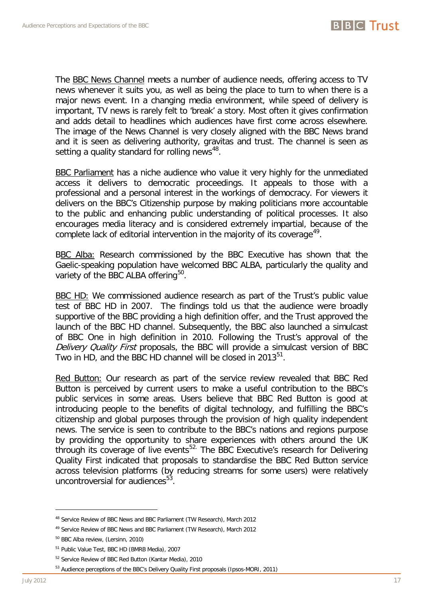

The BBC News Channel meets a number of audience needs, offering access to TV news whenever it suits you, as well as being the place to turn to when there is a major news event. In a changing media environment, while speed of delivery is important, TV news is rarely felt to 'break' a story. Most often it gives confirmation and adds detail to headlines which audiences have first come across elsewhere. The image of the News Channel is very closely aligned with the BBC News brand and it is seen as delivering authority, gravitas and trust. The channel is seen as setting a quality standard for rolling news<sup>48</sup>.

BBC Parliament has a niche audience who value it very highly for the unmediated access it delivers to democratic proceedings. It appeals to those with a professional and a personal interest in the workings of democracy. For viewers it delivers on the BBC's Citizenship purpose by making politicians more accountable to the public and enhancing public understanding of political processes. It also encourages media literacy and is considered extremely impartial, because of the complete lack of editorial intervention in the majority of its coverage<sup>49</sup>.

BBC Alba: Research commissioned by the BBC Executive has shown that the Gaelic-speaking population have welcomed BBC ALBA, particularly the quality and variety of the BBC ALBA offering<sup>50</sup>.

BBC HD: We commissioned audience research as part of the Trust's public value test of BBC HD in 2007. The findings told us that the audience were broadly supportive of the BBC providing a high definition offer, and the Trust approved the launch of the BBC HD channel. Subsequently, the BBC also launched a simulcast of BBC One in high definition in 2010. Following the Trust's approval of the Delivery Quality First proposals, the BBC will provide a simulcast version of BBC Two in HD, and the BBC HD channel will be closed in 2013 $51$ .

Red Button: Our research as part of the service review revealed that BBC Red Button is perceived by current users to make a useful contribution to the BBC's public services in some areas. Users believe that BBC Red Button is good at introducing people to the benefits of digital technology, and fulfilling the BBC's citizenship and global purposes through the provision of high quality independent news. The service is seen to contribute to the BBC's nations and regions purpose by providing the opportunity to share experiences with others around the UK through its coverage of live events<sup>[52](#page-16-3).</sup> The BBC Executive's research for Delivering Quality First indicated that proposals to standardise the BBC Red Button service across television platforms (by reducing streams for some users) were relatively uncontroversial for audiences<sup>53</sup>.

<span id="page-16-5"></span><sup>48</sup> Service Review of BBC News and BBC Parliament (TW Research), March 2012

<span id="page-16-0"></span><sup>&</sup>lt;sup>49</sup> Service Review of BBC News and BBC Parliament (TW Research), March 2012

<span id="page-16-1"></span><sup>50</sup> BBC Alba review, (Lersinn, 2010)

<span id="page-16-2"></span><sup>51</sup> Public Value Test, BBC HD (BMRB Media), 2007

<span id="page-16-3"></span><sup>&</sup>lt;sup>52</sup> Service Review of BBC Red Button (Kantar Media), 2010

<span id="page-16-4"></span><sup>53</sup> Audience perceptions of the BBC's Delivery Quality First proposals (Ipsos-MORI, 2011)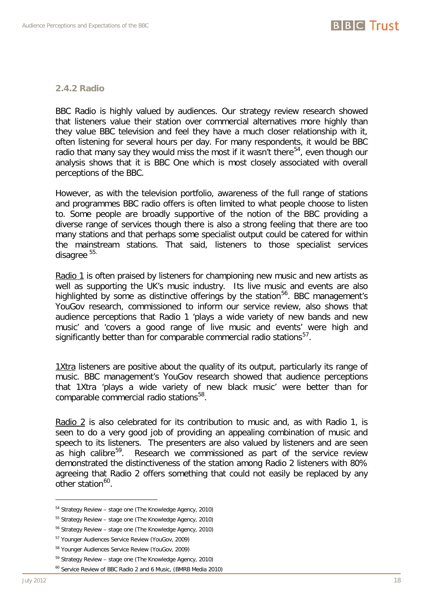# <span id="page-17-0"></span>**2.4.2 Radio**

BBC Radio is highly valued by audiences. Our strategy review research showed that listeners value their station over commercial alternatives more highly than they value BBC television and feel they have a much closer relationship with it, often listening for several hours per day. For many respondents, it would be BBC radio that many say they would miss the most if it wasn't there<sup>54</sup>, even though our analysis shows that it is BBC One which is most closely associated with overall perceptions of the BBC.

However, as with the television portfolio, awareness of the full range of stations and programmes BBC radio offers is often limited to what people choose to listen to. Some people are broadly supportive of the notion of the BBC providing a diverse range of services though there is also a strong feeling that there are too many stations and that perhaps some specialist output could be catered for within the mainstream stations. That said, listeners to those specialist services disagree [55.](#page-17-1)

Radio 1 is often praised by listeners for championing new music and new artists as well as supporting the UK's music industry. Its live music and events are also highlighted by some as distinctive offerings by the station<sup>56</sup>. BBC management's YouGov research, commissioned to inform our service review, also shows that audience perceptions that Radio 1 'plays a wide variety of new bands and new music' and 'covers a good range of live music and events' were high and significantly better than for comparable commercial radio stations $57$ .

1Xtra listeners are positive about the quality of its output, particularly its range of music. BBC management's YouGov research showed that audience perceptions that 1Xtra 'plays a wide variety of new black music' were better than for comparable commercial radio stations<sup>58</sup>.

Radio 2 is also celebrated for its contribution to music and, as with Radio 1, is seen to do a very good job of providing an appealing combination of music and speech to its listeners. The presenters are also valued by listeners and are seen as high calibre<sup>[59](#page-17-5)</sup>. Research we commissioned as part of the service review demonstrated the distinctiveness of the station among Radio 2 listeners with 80% agreeing that Radio 2 offers something that could not easily be replaced by any other station<sup>60</sup>.

<sup>54</sup> Strategy Review – stage one (The Knowledge Agency, 2010)

<span id="page-17-1"></span><sup>55</sup> Strategy Review – stage one (The Knowledge Agency, 2010)

<span id="page-17-2"></span><sup>56</sup> Strategy Review – stage one (The Knowledge Agency, 2010)

<span id="page-17-3"></span><sup>57</sup> Younger Audiences Service Review (YouGov, 2009)

<span id="page-17-4"></span><sup>58</sup> Younger Audiences Service Review (YouGov, 2009)

<span id="page-17-5"></span><sup>59</sup> Strategy Review – stage one (The Knowledge Agency, 2010)

<span id="page-17-6"></span><sup>&</sup>lt;sup>60</sup> Service Review of BBC Radio 2 and 6 Music, (BMRB Media 2010)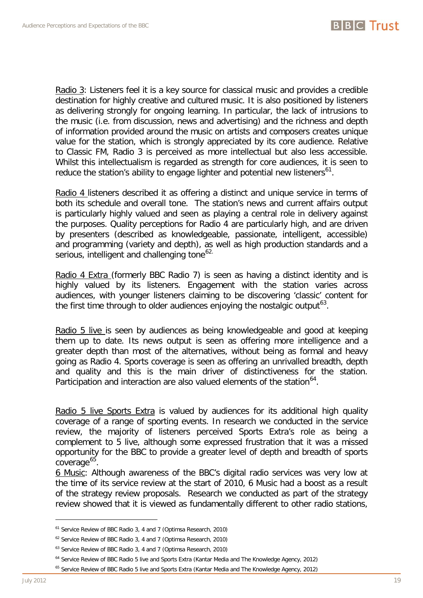Radio 3: Listeners feel it is a key source for classical music and provides a credible destination for highly creative and cultured music. It is also positioned by listeners as delivering strongly for ongoing learning. In particular, the lack of intrusions to the music (i.e. from discussion, news and advertising) and the richness and depth of information provided around the music on artists and composers creates unique value for the station, which is strongly appreciated by its core audience. Relative to Classic FM, Radio 3 is perceived as more intellectual but also less accessible. Whilst this intellectualism is regarded as strength for core audiences, it is seen to reduce the station's ability to engage lighter and potential new listeners<sup>61</sup>.

Radio 4 listeners described it as offering a distinct and unique service in terms of both its schedule and overall tone. The station's news and current affairs output is particularly highly valued and seen as playing a central role in delivery against the purposes. Quality perceptions for Radio 4 are particularly high, and are driven by presenters (described as knowledgeable, passionate, intelligent, accessible) and programming (variety and depth), as well as high production standards and a serious, intelligent and challenging tone<sup>[62.](#page-18-0)</sup>

Radio 4 Extra (formerly BBC Radio 7) is seen as having a distinct identity and is highly valued by its listeners. Engagement with the station varies across audiences, with younger listeners claiming to be discovering 'classic' content for the first time through to older audiences enjoying the nostalgic output<sup>[63](#page-18-1)</sup>.

Radio 5 live is seen by audiences as being knowledgeable and good at keeping them up to date. Its news output is seen as offering more intelligence and a greater depth than most of the alternatives, without being as formal and heavy going as Radio 4. Sports coverage is seen as offering an unrivalled breadth, depth and quality and this is the main driver of distinctiveness for the station. Participation and interaction are also valued elements of the station<sup>[64](#page-18-2)</sup>.

Radio 5 live Sports Extra is valued by audiences for its additional high quality coverage of a range of sporting events. In research we conducted in the service review, the majority of listeners perceived Sports Extra's role as being a complement to 5 live, although some expressed frustration that it was a missed opportunity for the BBC to provide a greater level of depth and breadth of sports coverage<sup>[65](#page-18-3)</sup>.

6 Music: Although awareness of the BBC's digital radio services was very low at the time of its service review at the start of 2010, 6 Music had a boost as a result of the strategy review proposals. Research we conducted as part of the strategy review showed that it is viewed as fundamentally different to other radio stations,

<span id="page-18-4"></span><sup>&</sup>lt;sup>61</sup> Service Review of BBC Radio 3, 4 and 7 (Optimsa Research, 2010)

<span id="page-18-0"></span><sup>&</sup>lt;sup>62</sup> Service Review of BBC Radio 3, 4 and 7 (Optimsa Research, 2010)

<span id="page-18-1"></span><sup>&</sup>lt;sup>63</sup> Service Review of BBC Radio 3, 4 and 7 (Optimsa Research, 2010)

<sup>&</sup>lt;sup>64</sup> Service Review of BBC Radio 5 live and Sports Extra (Kantar Media and The Knowledge Agency, 2012)

<span id="page-18-3"></span><span id="page-18-2"></span><sup>&</sup>lt;sup>65</sup> Service Review of BBC Radio 5 live and Sports Extra (Kantar Media and The Knowledge Agency, 2012)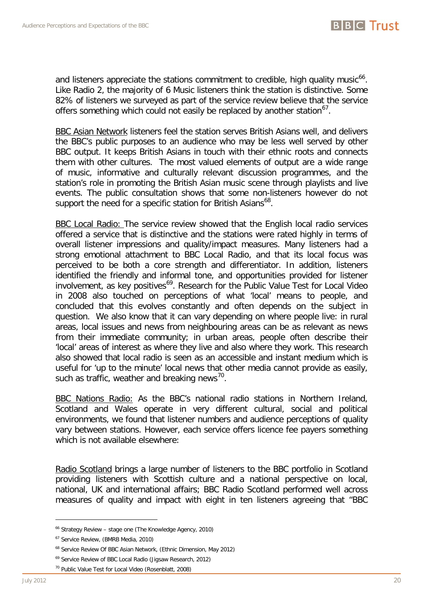and listeners appreciate the stations commitment to credible, high quality music<sup>66</sup>. Like Radio 2, the majority of 6 Music listeners think the station is distinctive. Some 82% of listeners we surveyed as part of the service review believe that the service offers something which could not easily be replaced by another station $^{67}$  $^{67}$  $^{67}$ .

BBC Asian Network listeners feel the station serves British Asians well, and delivers the BBC's public purposes to an audience who may be less well served by other BBC output. It keeps British Asians in touch with their ethnic roots and connects them with other cultures. The most valued elements of output are a wide range of music, informative and culturally relevant discussion programmes, and the station's role in promoting the British Asian music scene through playlists and live events. The public consultation shows that some non-listeners however do not support the need for a specific station for British Asians<sup>68</sup>.

BBC Local Radio: The service review showed that the English local radio services offered a service that is distinctive and the stations were rated highly in terms of overall listener impressions and quality/impact measures. Many listeners had a strong emotional attachment to BBC Local Radio, and that its local focus was perceived to be both a core strength and differentiator. In addition, listeners identified the friendly and informal tone, and opportunities provided for listener involvement, as key positives<sup>[69](#page-19-2)</sup>. Research for the Public Value Test for Local Video in 2008 also touched on perceptions of what 'local' means to people, and concluded that this evolves constantly and often depends on the subject in question. We also know that it can vary depending on where people live: in rural areas, local issues and news from neighbouring areas can be as relevant as news from their immediate community; in urban areas, people often describe their 'local' areas of interest as where they live and also where they work. This research also showed that local radio is seen as an accessible and instant medium which is useful for 'up to the minute' local news that other media cannot provide as easily, such as traffic, weather and breaking news $^{70}$  $^{70}$  $^{70}$ .

BBC Nations Radio: As the BBC's national radio stations in Northern Ireland, Scotland and Wales operate in very different cultural, social and political environments, we found that listener numbers and audience perceptions of quality vary between stations. However, each service offers licence fee payers something which is not available elsewhere:

Radio Scotland brings a large number of listeners to the BBC portfolio in Scotland providing listeners with Scottish culture and a national perspective on local, national, UK and international affairs; BBC Radio Scotland performed well across measures of quality and impact with eight in ten listeners agreeing that "BBC

<sup>&</sup>lt;sup>66</sup> Strategy Review – stage one (The Knowledge Agency, 2010)

<span id="page-19-0"></span><sup>67</sup> Service Review, (BMRB Media, 2010)

<span id="page-19-1"></span><sup>68</sup> Service Review Of BBC Asian Network, (Ethnic Dimension, May 2012)

<span id="page-19-2"></span><sup>69</sup> Service Review of BBC Local Radio (Jigsaw Research, 2012)

<span id="page-19-3"></span><sup>70</sup> Public Value Test for Local Video (Rosenblatt, 2008)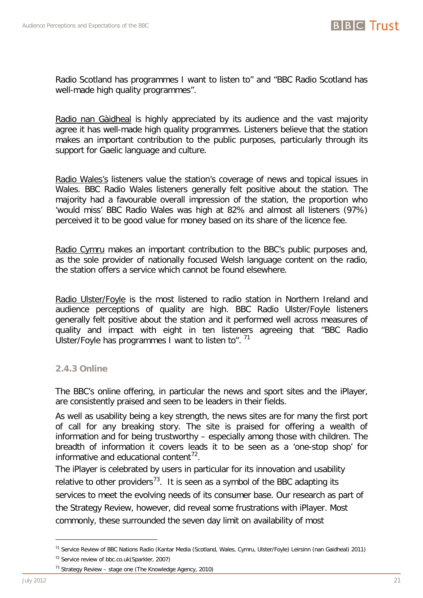

Radio Scotland has programmes I want to listen to" and "BBC Radio Scotland has well-made high quality programmes".

Radio nan Gàidheal is highly appreciated by its audience and the vast majority agree it has well-made high quality programmes. Listeners believe that the station makes an important contribution to the public purposes, particularly through its support for Gaelic language and culture.

Radio Wales's listeners value the station's coverage of news and topical issues in Wales. BBC Radio Wales listeners generally felt positive about the station. The majority had a favourable overall impression of the station, the proportion who 'would miss' BBC Radio Wales was high at 82% and almost all listeners (97%) perceived it to be good value for money based on its share of the licence fee.

Radio Cymru makes an important contribution to the BBC's public purposes and, as the sole provider of nationally focused Welsh language content on the radio, the station offers a service which cannot be found elsewhere.

Radio Ulster/Foyle is the most listened to radio station in Northern Ireland and audience perceptions of quality are high. BBC Radio Ulster/Foyle listeners generally felt positive about the station and it performed well across measures of quality and impact with eight in ten listeners agreeing that "BBC Radio Ulster/Foyle has programmes I want to listen to". <sup>[71](#page-19-1)</sup>

# <span id="page-20-0"></span>**2.4.3 Online**

The BBC's online offering, in particular the news and sport sites and the iPlayer, are consistently praised and seen to be leaders in their fields.

As well as usability being a key strength, the news sites are for many the first port of call for any breaking story. The site is praised for offering a wealth of information and for being trustworthy – especially among those with children. The breadth of information it covers leads it to be seen as a 'one-stop shop' for informative and educational content<sup>[72](#page-20-2)</sup>.

<span id="page-20-1"></span>The iPlayer is celebrated by users in particular for its innovation and usability relative to other providers<sup>73</sup>. It is seen as a symbol of the BBC adapting its services to meet the evolving needs of its consumer base. Our research as part of the Strategy Review, however, did reveal some frustrations with iPlayer. Most commonly, these surrounded the seven day limit on availability of most

<sup>71</sup> Service Review of BBC Nations Radio (Kantar Media (Scotland, Wales, Cymru, Ulster/Foyle) Leirsinn (nan Gaidheal) 2011)

<sup>&</sup>lt;sup>72</sup> Service review of bbc.co.uk(Sparkler, 2007)

<span id="page-20-3"></span><span id="page-20-2"></span> $73$  Strategy Review – stage one (The Knowledge Agency, 2010)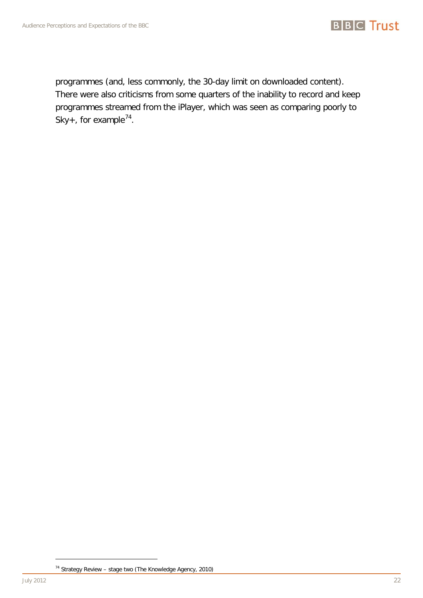programmes (and, less commonly, the 30-day limit on downloaded content). There were also criticisms from some quarters of the inability to record and keep programmes streamed from the iPlayer, which was seen as comparing poorly to Sky+, for example<sup>74</sup>.

<u>.</u>

<sup>74</sup> Strategy Review – stage two (The Knowledge Agency, 2010)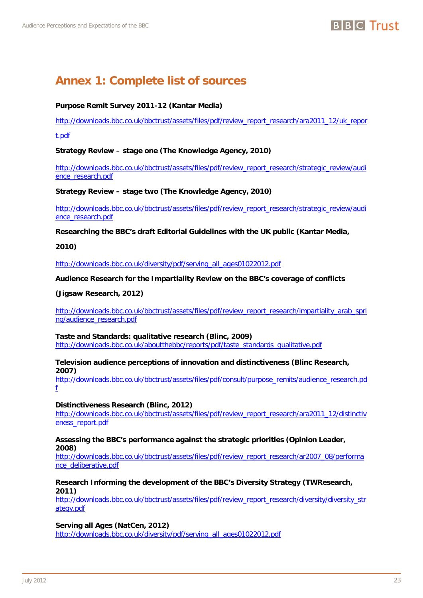# **Annex 1: Complete list of sources**

# **Purpose Remit Survey 2011-12 (Kantar Media)**

[http://downloads.bbc.co.uk/bbctrust/assets/files/pdf/review\\_report\\_research/ara2011\\_12/uk\\_repor](http://downloads.bbc.co.uk/bbctrust/assets/files/pdf/review_report_research/ara2011_12/uk_report.pdf)

[t.pdf](http://downloads.bbc.co.uk/bbctrust/assets/files/pdf/review_report_research/ara2011_12/uk_report.pdf)

**Strategy Review – stage one (The Knowledge Agency, 2010)**

[http://downloads.bbc.co.uk/bbctrust/assets/files/pdf/review\\_report\\_research/strategic\\_review/audi](http://downloads.bbc.co.uk/bbctrust/assets/files/pdf/review_report_research/strategic_review/audience_research.pdf) [ence\\_research.pdf](http://downloads.bbc.co.uk/bbctrust/assets/files/pdf/review_report_research/strategic_review/audience_research.pdf)

**Strategy Review – stage two (The Knowledge Agency, 2010)**

[http://downloads.bbc.co.uk/bbctrust/assets/files/pdf/review\\_report\\_research/strategic\\_review/audi](http://downloads.bbc.co.uk/bbctrust/assets/files/pdf/review_report_research/strategic_review/audience_research.pdf) [ence\\_research.pdf](http://downloads.bbc.co.uk/bbctrust/assets/files/pdf/review_report_research/strategic_review/audience_research.pdf)

**Researching the BBC's draft Editorial Guidelines with the UK public (Kantar Media,** 

**2010)**

[http://downloads.bbc.co.uk/diversity/pdf/serving\\_all\\_ages01022012.pdf](http://downloads.bbc.co.uk/diversity/pdf/serving_all_ages01022012.pdf)

**Audience Research for the Impartiality Review on the BBC's coverage of conflicts** 

**(Jigsaw Research, 2012)** 

[http://downloads.bbc.co.uk/bbctrust/assets/files/pdf/review\\_report\\_research/impartiality\\_arab\\_spri](http://downloads.bbc.co.uk/bbctrust/assets/files/pdf/review_report_research/impartiality_arab_spring/audience_research.pdf) [ng/audience\\_research.pdf](http://downloads.bbc.co.uk/bbctrust/assets/files/pdf/review_report_research/impartiality_arab_spring/audience_research.pdf)

**Taste and Standards: qualitative research (Blinc, 2009)** [http://downloads.bbc.co.uk/aboutthebbc/reports/pdf/taste\\_standards\\_qualitative.pdf](http://downloads.bbc.co.uk/aboutthebbc/reports/pdf/taste_standards_qualitative.pdf)

**Television audience perceptions of innovation and distinctiveness (Blinc Research, 2007)**

[http://downloads.bbc.co.uk/bbctrust/assets/files/pdf/consult/purpose\\_remits/audience\\_research.pd](http://downloads.bbc.co.uk/bbctrust/assets/files/pdf/consult/purpose_remits/audience_research.pdf) [f](http://downloads.bbc.co.uk/bbctrust/assets/files/pdf/consult/purpose_remits/audience_research.pdf)

**Distinctiveness Research (Blinc, 2012)** 

[http://downloads.bbc.co.uk/bbctrust/assets/files/pdf/review\\_report\\_research/ara2011\\_12/distinctiv](http://downloads.bbc.co.uk/bbctrust/assets/files/pdf/review_report_research/ara2011_12/distinctiveness_report.pdf) [eness\\_report.pdf](http://downloads.bbc.co.uk/bbctrust/assets/files/pdf/review_report_research/ara2011_12/distinctiveness_report.pdf)

#### **Assessing the BBC's performance against the strategic priorities (Opinion Leader, 2008)**

[http://downloads.bbc.co.uk/bbctrust/assets/files/pdf/review\\_report\\_research/ar2007\\_08/performa](https://email.myconnect.bbc.co.uk/+CSCO+1h75676763663A2F2F7972746E706C2E616E677662616E792E706265722E6F6F702E70622E6878++/exchweb/bin/redir.asp?URL=http://downloads.bbc.co.uk/bbctrust/assets/files/pdf/review_report_research/ar2007_08/performance_deliberative.pdf) [nce\\_deliberative.pdf](https://email.myconnect.bbc.co.uk/+CSCO+1h75676763663A2F2F7972746E706C2E616E677662616E792E706265722E6F6F702E70622E6878++/exchweb/bin/redir.asp?URL=http://downloads.bbc.co.uk/bbctrust/assets/files/pdf/review_report_research/ar2007_08/performance_deliberative.pdf)

# **Research Informing the development of the BBC's Diversity Strategy (TWResearch, 2011)**

[http://downloads.bbc.co.uk/bbctrust/assets/files/pdf/review\\_report\\_research/diversity/diversity\\_str](http://downloads.bbc.co.uk/bbctrust/assets/files/pdf/review_report_research/diversity/diversity_strategy.pdf) [ategy.pdf](http://downloads.bbc.co.uk/bbctrust/assets/files/pdf/review_report_research/diversity/diversity_strategy.pdf)

**Serving all Ages (NatCen, 2012)**

[http://downloads.bbc.co.uk/diversity/pdf/serving\\_all\\_ages01022012.pdf](http://downloads.bbc.co.uk/diversity/pdf/serving_all_ages01022012.pdf)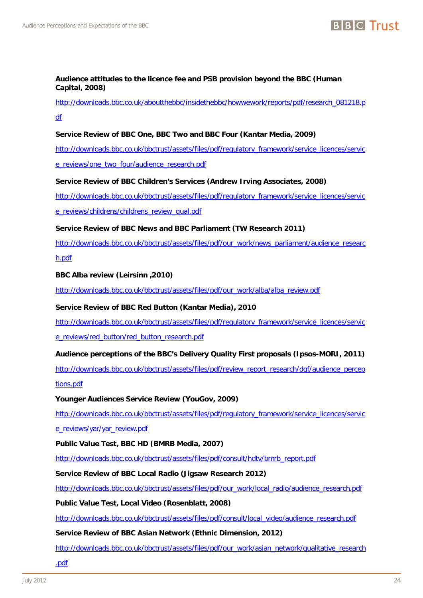

#### **Audience attitudes to the licence fee and PSB provision beyond the BBC (Human Capital, 2008)**

# [http://downloads.bbc.co.uk/aboutthebbc/insidethebbc/howwework/reports/pdf/research\\_081218.p](http://downloads.bbc.co.uk/aboutthebbc/insidethebbc/howwework/reports/pdf/research_081218.pdf) [df](http://downloads.bbc.co.uk/aboutthebbc/insidethebbc/howwework/reports/pdf/research_081218.pdf)

# **Service Review of BBC One, BBC Two and BBC Four (Kantar Media, 2009)**

[http://downloads.bbc.co.uk/bbctrust/assets/files/pdf/regulatory\\_framework/service\\_licences/servic](http://downloads.bbc.co.uk/bbctrust/assets/files/pdf/regulatory_framework/service_licences/service_reviews/one_two_four/audience_research.pdf)

[e\\_reviews/one\\_two\\_four/audience\\_research.pdf](http://downloads.bbc.co.uk/bbctrust/assets/files/pdf/regulatory_framework/service_licences/service_reviews/one_two_four/audience_research.pdf)

#### **Service Review of BBC Children's Services (Andrew Irving Associates, 2008)**

[http://downloads.bbc.co.uk/bbctrust/assets/files/pdf/regulatory\\_framework/service\\_licences/servic](http://downloads.bbc.co.uk/bbctrust/assets/files/pdf/regulatory_framework/service_licences/service_reviews/childrens/childrens_review_qual.pdf)

[e\\_reviews/childrens/childrens\\_review\\_qual.pdf](http://downloads.bbc.co.uk/bbctrust/assets/files/pdf/regulatory_framework/service_licences/service_reviews/childrens/childrens_review_qual.pdf)

#### **Service Review of BBC News and BBC Parliament (TW Research 2011)**

[http://downloads.bbc.co.uk/bbctrust/assets/files/pdf/our\\_work/news\\_parliament/audience\\_researc](http://downloads.bbc.co.uk/bbctrust/assets/files/pdf/our_work/news_parliament/audience_research.pdf)

[h.pdf](http://downloads.bbc.co.uk/bbctrust/assets/files/pdf/our_work/news_parliament/audience_research.pdf)

#### **BBC Alba review (Leirsinn ,2010)**

[http://downloads.bbc.co.uk/bbctrust/assets/files/pdf/our\\_work/alba/alba\\_review.pdf](http://downloads.bbc.co.uk/bbctrust/assets/files/pdf/our_work/alba/alba_review.pdf)

# **Service Review of BBC Red Button (Kantar Media), 2010**

[http://downloads.bbc.co.uk/bbctrust/assets/files/pdf/regulatory\\_framework/service\\_licences/servic](http://downloads.bbc.co.uk/bbctrust/assets/files/pdf/regulatory_framework/service_licences/service_reviews/red_button/red_button_research.pdf) [e\\_reviews/red\\_button/red\\_button\\_research.pdf](http://downloads.bbc.co.uk/bbctrust/assets/files/pdf/regulatory_framework/service_licences/service_reviews/red_button/red_button_research.pdf)

# **Audience perceptions of the BBC's Delivery Quality First proposals (Ipsos-MORI, 2011)**

[http://downloads.bbc.co.uk/bbctrust/assets/files/pdf/review\\_report\\_research/dqf/audience\\_percep](http://downloads.bbc.co.uk/bbctrust/assets/files/pdf/review_report_research/dqf/audience_perceptions.pdf) [tions.pdf](http://downloads.bbc.co.uk/bbctrust/assets/files/pdf/review_report_research/dqf/audience_perceptions.pdf)

# **Younger Audiences Service Review (YouGov, 2009)**

[http://downloads.bbc.co.uk/bbctrust/assets/files/pdf/regulatory\\_framework/service\\_licences/servic](http://downloads.bbc.co.uk/bbctrust/assets/files/pdf/regulatory_framework/service_licences/service_reviews/yar/yar_review.pdf)

[e\\_reviews/yar/yar\\_review.pdf](http://downloads.bbc.co.uk/bbctrust/assets/files/pdf/regulatory_framework/service_licences/service_reviews/yar/yar_review.pdf)

# **Public Value Test, BBC HD (BMRB Media, 2007)**

[http://downloads.bbc.co.uk/bbctrust/assets/files/pdf/consult/hdtv/bmrb\\_report.pdf](http://downloads.bbc.co.uk/bbctrust/assets/files/pdf/consult/hdtv/bmrb_report.pdf)

# **Service Review of BBC Local Radio (Jigsaw Research 2012)**

[http://downloads.bbc.co.uk/bbctrust/assets/files/pdf/our\\_work/local\\_radio/audience\\_research.pdf](http://downloads.bbc.co.uk/bbctrust/assets/files/pdf/our_work/local_radio/audience_research.pdf)

# **Public Value Test, Local Video (Rosenblatt, 2008)**

[http://downloads.bbc.co.uk/bbctrust/assets/files/pdf/consult/local\\_video/audience\\_research.pdf](http://downloads.bbc.co.uk/bbctrust/assets/files/pdf/consult/local_video/audience_research.pdf)

#### **Service Review of BBC Asian Network (Ethnic Dimension, 2012)**

[http://downloads.bbc.co.uk/bbctrust/assets/files/pdf/our\\_work/asian\\_network/qualitative\\_research](http://downloads.bbc.co.uk/bbctrust/assets/files/pdf/our_work/asian_network/qualitative_research.pdf)

[.pdf](http://downloads.bbc.co.uk/bbctrust/assets/files/pdf/our_work/asian_network/qualitative_research.pdf)